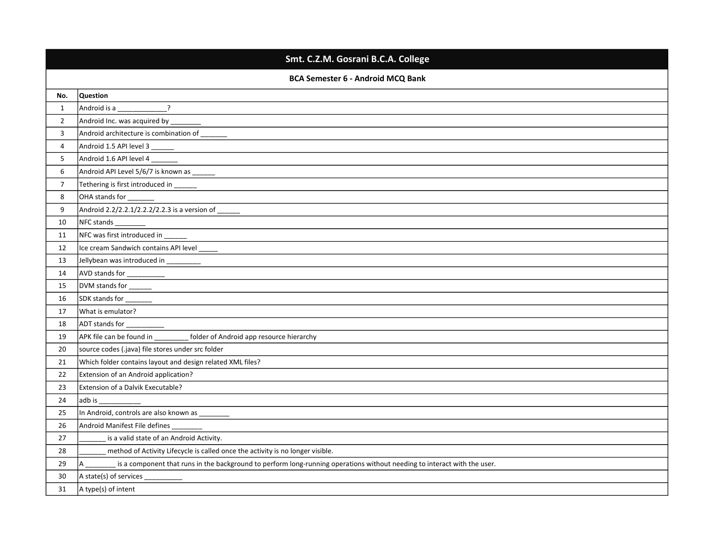|                                          | Smt. C.Z.M. Gosrani B.C.A. College                                                                                            |  |
|------------------------------------------|-------------------------------------------------------------------------------------------------------------------------------|--|
| <b>BCA Semester 6 - Android MCQ Bank</b> |                                                                                                                               |  |
| No.                                      | Question                                                                                                                      |  |
| $\mathbf{1}$                             | Android is a ________________?                                                                                                |  |
| $\overline{2}$                           |                                                                                                                               |  |
| 3                                        |                                                                                                                               |  |
| 4                                        | Android 1.5 API level 3 ______<br>the control of the control of the control of the control of the control of the control of   |  |
| 5                                        | Android 1.6 API level 4                                                                                                       |  |
| 6                                        |                                                                                                                               |  |
| $\overline{7}$                           | Tethering is first introduced in ______                                                                                       |  |
| 8                                        | OHA stands for _                                                                                                              |  |
| 9                                        | Android 2.2/2.2.1/2.2.2/2.2.3 is a version of _______                                                                         |  |
| 10                                       | NFC stands                                                                                                                    |  |
| 11                                       | NFC was first introduced in _                                                                                                 |  |
| 12                                       |                                                                                                                               |  |
| 13                                       |                                                                                                                               |  |
| 14                                       |                                                                                                                               |  |
| 15                                       |                                                                                                                               |  |
| 16                                       | SDK stands for ________                                                                                                       |  |
| 17                                       | What is emulator?                                                                                                             |  |
| 18                                       |                                                                                                                               |  |
| 19                                       | APK file can be found in __________ folder of Android app resource hierarchy                                                  |  |
| 20                                       | source codes (.java) file stores under src folder                                                                             |  |
| 21                                       | Which folder contains layout and design related XML files?                                                                    |  |
| 22                                       | Extension of an Android application?                                                                                          |  |
| 23                                       | Extension of a Dalvik Executable?                                                                                             |  |
| 24                                       | adb is ____                                                                                                                   |  |
| 25                                       |                                                                                                                               |  |
| 26                                       | Android Manifest File defines                                                                                                 |  |
| 27                                       | is a valid state of an Android Activity.                                                                                      |  |
| 28                                       | method of Activity Lifecycle is called once the activity is no longer visible.                                                |  |
| 29                                       | is a component that runs in the background to perform long-running operations without needing to interact with the user.<br>A |  |
| 30                                       | $A state(s)$ of services ____________                                                                                         |  |
| 31                                       | A type(s) of intent                                                                                                           |  |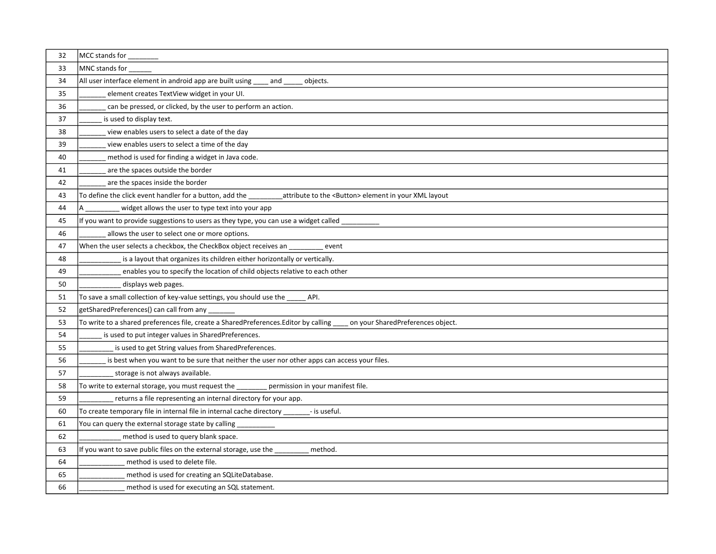| 32 | MCC stands for ________                                                                                                         |
|----|---------------------------------------------------------------------------------------------------------------------------------|
| 33 | MNC stands for ___                                                                                                              |
| 34 | All user interface element in android app are built using<br>and<br>objects.                                                    |
| 35 | element creates TextView widget in your UI.                                                                                     |
| 36 | can be pressed, or clicked, by the user to perform an action.                                                                   |
| 37 | is used to display text.                                                                                                        |
| 38 | view enables users to select a date of the day                                                                                  |
| 39 | view enables users to select a time of the day                                                                                  |
| 40 | method is used for finding a widget in Java code.                                                                               |
| 41 | are the spaces outside the border                                                                                               |
| 42 | are the spaces inside the border                                                                                                |
| 43 | To define the click event handler for a button, add the ______<br>attribute to the <button> element in your XML layout</button> |
| 44 | widget allows the user to type text into your app                                                                               |
| 45 | If you want to provide suggestions to users as they type, you can use a widget called _                                         |
| 46 | allows the user to select one or more options.                                                                                  |
| 47 | When the user selects a checkbox, the CheckBox object receives an<br>event                                                      |
| 48 | is a layout that organizes its children either horizontally or vertically.                                                      |
| 49 | enables you to specify the location of child objects relative to each other                                                     |
| 50 | displays web pages.                                                                                                             |
| 51 | To save a small collection of key-value settings, you should use the _____ API.                                                 |
| 52 | getSharedPreferences() can call from any __                                                                                     |
| 53 | To write to a shared preferences file, create a SharedPreferences.Editor by calling ___<br>on your SharedPreferences object.    |
| 54 | is used to put integer values in SharedPreferences.                                                                             |
| 55 | is used to get String values from SharedPreferences.                                                                            |
| 56 | is best when you want to be sure that neither the user nor other apps can access your files.                                    |
| 57 | storage is not always available.                                                                                                |
| 58 | To write to external storage, you must request the ____<br>permission in your manifest file.                                    |
| 59 | returns a file representing an internal directory for your app.                                                                 |
| 60 | To create temporary file in internal file in internal cache directory _______- is useful.                                       |
| 61 | You can query the external storage state by calling ___                                                                         |
| 62 | method is used to query blank space.                                                                                            |
| 63 | If you want to save public files on the external storage, use the ____<br>method.                                               |
| 64 | method is used to delete file.                                                                                                  |
| 65 | method is used for creating an SQLiteDatabase.                                                                                  |
| 66 | method is used for executing an SQL statement.                                                                                  |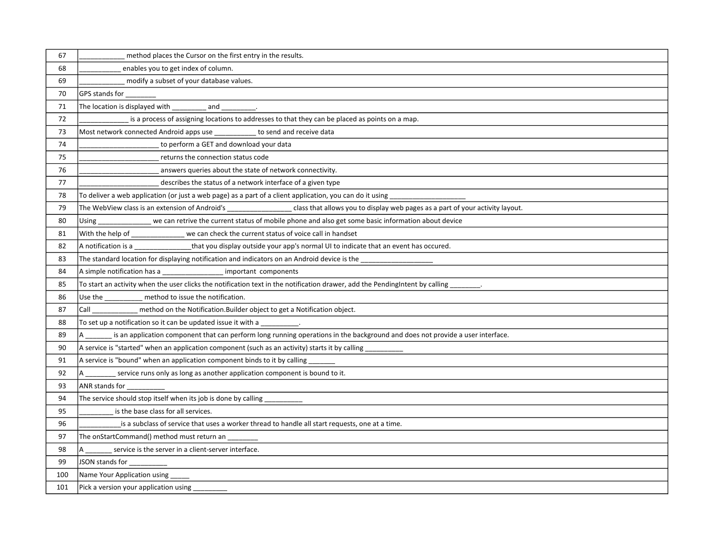| 67  | method places the Cursor on the first entry in the results.                                                                                   |
|-----|-----------------------------------------------------------------------------------------------------------------------------------------------|
| 68  | enables you to get index of column.                                                                                                           |
| 69  | modify a subset of your database values.                                                                                                      |
| 70  |                                                                                                                                               |
| 71  | The location is displayed with ____________ and __________.                                                                                   |
| 72  | is a process of assigning locations to addresses to that they can be placed as points on a map.                                               |
| 73  | Most network connected Android apps use to send and receive data                                                                              |
| 74  | to perform a GET and download your data                                                                                                       |
| 75  | returns the connection status code                                                                                                            |
| 76  | answers queries about the state of network connectivity.                                                                                      |
| 77  | describes the status of a network interface of a given type                                                                                   |
| 78  | To deliver a web application (or just a web page) as a part of a client application, you can do it using                                      |
| 79  | The WebView class is an extension of Android's _________________class that allows you to display web pages as a part of your activity layout. |
| 80  | Using _____________ we can retrive the current status of mobile phone and also get some basic information about device                        |
| 81  | With the help of _______________ we can check the current status of voice call in handset                                                     |
| 82  | A notification is a __________________that you display outside your app's normal UI to indicate that an event has occured.                    |
| 83  | The standard location for displaying notification and indicators on an Android device is the ______                                           |
| 84  | A simple notification has a __________________ important components                                                                           |
| 85  |                                                                                                                                               |
| 86  | Use the method to issue the notification.                                                                                                     |
| 87  | Call ___________ method on the Notification.Builder object to get a Notification object.                                                      |
| 88  | To set up a notification so it can be updated issue it with a __________.                                                                     |
| 89  | is an application component that can perform long running operations in the background and does not provide a user interface.                 |
| 90  | A service is "started" when an application component (such as an activity) starts it by calling ___________                                   |
| 91  | A service is "bound" when an application component binds to it by calling _                                                                   |
| 92  | service runs only as long as another application component is bound to it.<br>A                                                               |
| 93  | ANR stands for                                                                                                                                |
| 94  | The service should stop itself when its job is done by calling __________                                                                     |
| 95  | is the base class for all services.                                                                                                           |
| 96  | is a subclass of service that uses a worker thread to handle all start requests, one at a time.                                               |
| 97  | The onStartCommand() method must return an                                                                                                    |
| 98  | service is the server in a client-server interface.                                                                                           |
| 99  | JSON stands for _                                                                                                                             |
| 100 | Name Your Application using                                                                                                                   |
| 101 | Pick a version your application using                                                                                                         |